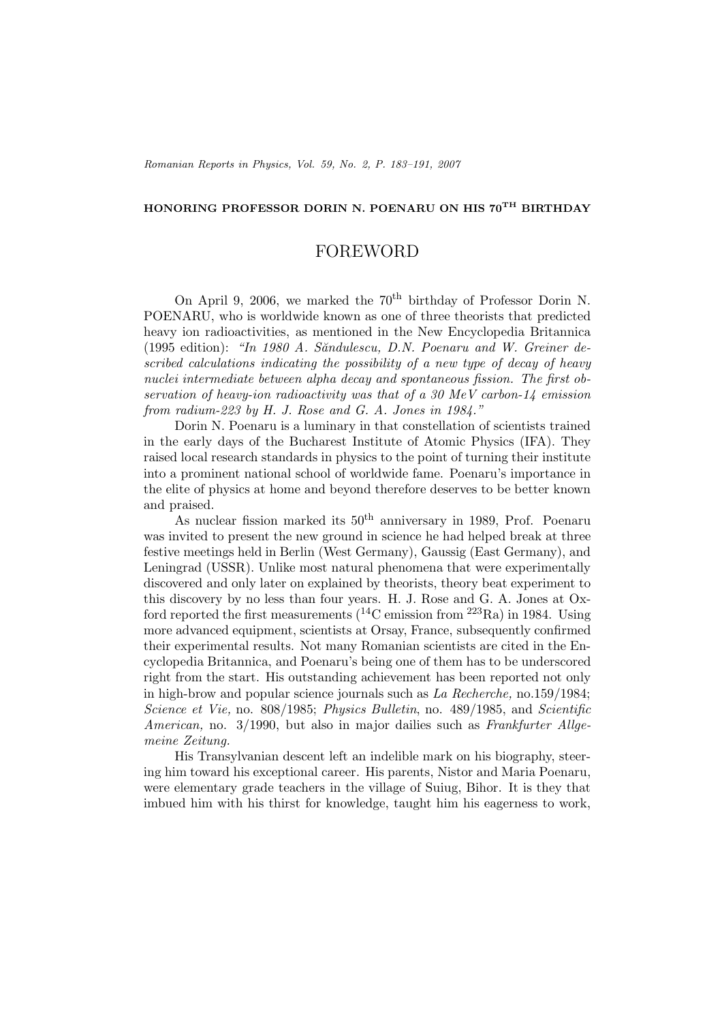## **HONORING PROFESSOR DORIN N. POENARU ON HIS 70TH BIRTHDAY**

## FOREWORD

On April 9, 2006, we marked the 70<sup>th</sup> birthday of Professor Dorin N. POENARU, who is worldwide known as one of three theorists that predicted heavy ion radioactivities, as mentioned in the New Encyclopedia Britannica (1995 edition): *"In 1980 A. S˘andulescu, D.N. Poenaru and W. Greiner described calculations indicating the possibility of a new type of decay of heavy nuclei intermediate between alpha decay and spontaneous fission. The first observation of heavy-ion radioactivity was that of a 30 MeV carbon-14 emission from radium-223 by H. J. Rose and G. A. Jones in 1984."*

Dorin N. Poenaru is a luminary in that constellation of scientists trained in the early days of the Bucharest Institute of Atomic Physics (IFA). They raised local research standards in physics to the point of turning their institute into a prominent national school of worldwide fame. Poenaru's importance in the elite of physics at home and beyond therefore deserves to be better known and praised.

As nuclear fission marked its  $50<sup>th</sup>$  anniversary in 1989, Prof. Poenaru was invited to present the new ground in science he had helped break at three festive meetings held in Berlin (West Germany), Gaussig (East Germany), and Leningrad (USSR). Unlike most natural phenomena that were experimentally discovered and only later on explained by theorists, theory beat experiment to this discovery by no less than four years. H. J. Rose and G. A. Jones at Oxford reported the first measurements  $(^{14}C \text{ emission from }^{223} \text{Ra})$  in 1984. Using more advanced equipment, scientists at Orsay, France, subsequently confirmed their experimental results. Not many Romanian scientists are cited in the Encyclopedia Britannica, and Poenaru's being one of them has to be underscored right from the start. His outstanding achievement has been reported not only in high-brow and popular science journals such as *La Recherche,* no.159/1984; *Science et Vie,* no. 808/1985; *Physics Bulletin*, no. 489/1985, and *Scientific American,* no. 3/1990, but also in major dailies such as *Frankfurter Allgemeine Zeitung.*

His Transylvanian descent left an indelible mark on his biography, steering him toward his exceptional career. His parents, Nistor and Maria Poenaru, were elementary grade teachers in the village of Suiug, Bihor. It is they that imbued him with his thirst for knowledge, taught him his eagerness to work,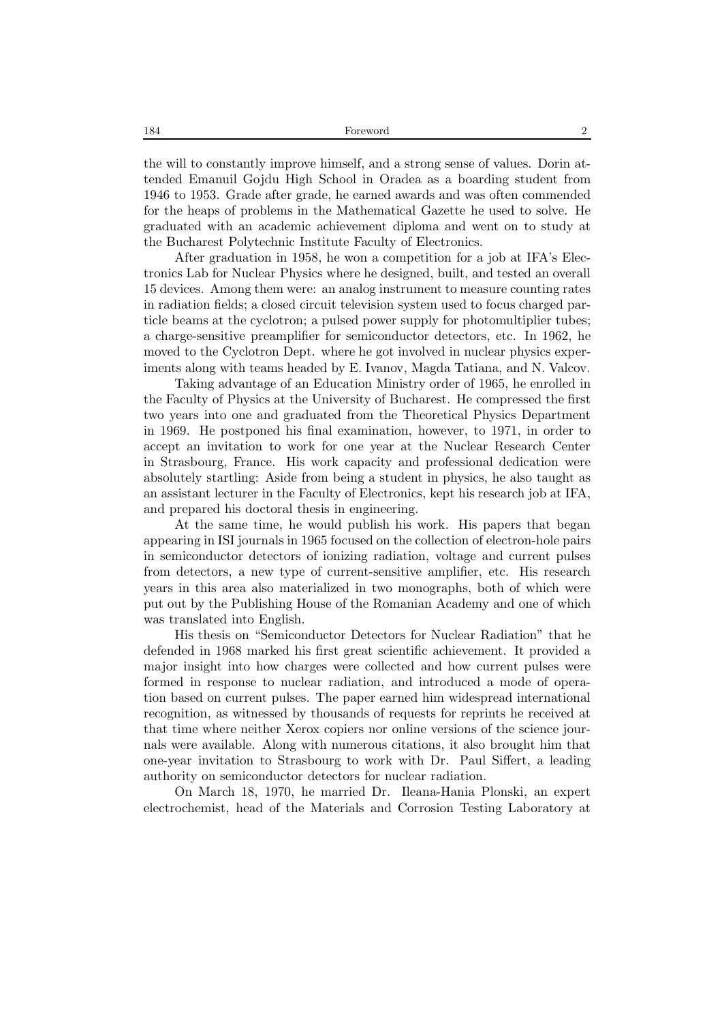the will to constantly improve himself, and a strong sense of values. Dorin attended Emanuil Gojdu High School in Oradea as a boarding student from 1946 to 1953. Grade after grade, he earned awards and was often commended for the heaps of problems in the Mathematical Gazette he used to solve. He graduated with an academic achievement diploma and went on to study at the Bucharest Polytechnic Institute Faculty of Electronics.

After graduation in 1958, he won a competition for a job at IFA's Electronics Lab for Nuclear Physics where he designed, built, and tested an overall 15 devices. Among them were: an analog instrument to measure counting rates in radiation fields; a closed circuit television system used to focus charged particle beams at the cyclotron; a pulsed power supply for photomultiplier tubes; a charge-sensitive preamplifier for semiconductor detectors, etc. In 1962, he moved to the Cyclotron Dept. where he got involved in nuclear physics experiments along with teams headed by E. Ivanov, Magda Tatiana, and N. Valcov.

Taking advantage of an Education Ministry order of 1965, he enrolled in the Faculty of Physics at the University of Bucharest. He compressed the first two years into one and graduated from the Theoretical Physics Department in 1969. He postponed his final examination, however, to 1971, in order to accept an invitation to work for one year at the Nuclear Research Center in Strasbourg, France. His work capacity and professional dedication were absolutely startling: Aside from being a student in physics, he also taught as an assistant lecturer in the Faculty of Electronics, kept his research job at IFA, and prepared his doctoral thesis in engineering.

At the same time, he would publish his work. His papers that began appearing in ISI journals in 1965 focused on the collection of electron-hole pairs in semiconductor detectors of ionizing radiation, voltage and current pulses from detectors, a new type of current-sensitive amplifier, etc. His research years in this area also materialized in two monographs, both of which were put out by the Publishing House of the Romanian Academy and one of which was translated into English.

His thesis on "Semiconductor Detectors for Nuclear Radiation" that he defended in 1968 marked his first great scientific achievement. It provided a major insight into how charges were collected and how current pulses were formed in response to nuclear radiation, and introduced a mode of operation based on current pulses. The paper earned him widespread international recognition, as witnessed by thousands of requests for reprints he received at that time where neither Xerox copiers nor online versions of the science journals were available. Along with numerous citations, it also brought him that one-year invitation to Strasbourg to work with Dr. Paul Siffert, a leading authority on semiconductor detectors for nuclear radiation.

On March 18, 1970, he married Dr. Ileana-Hania Plonski, an expert electrochemist, head of the Materials and Corrosion Testing Laboratory at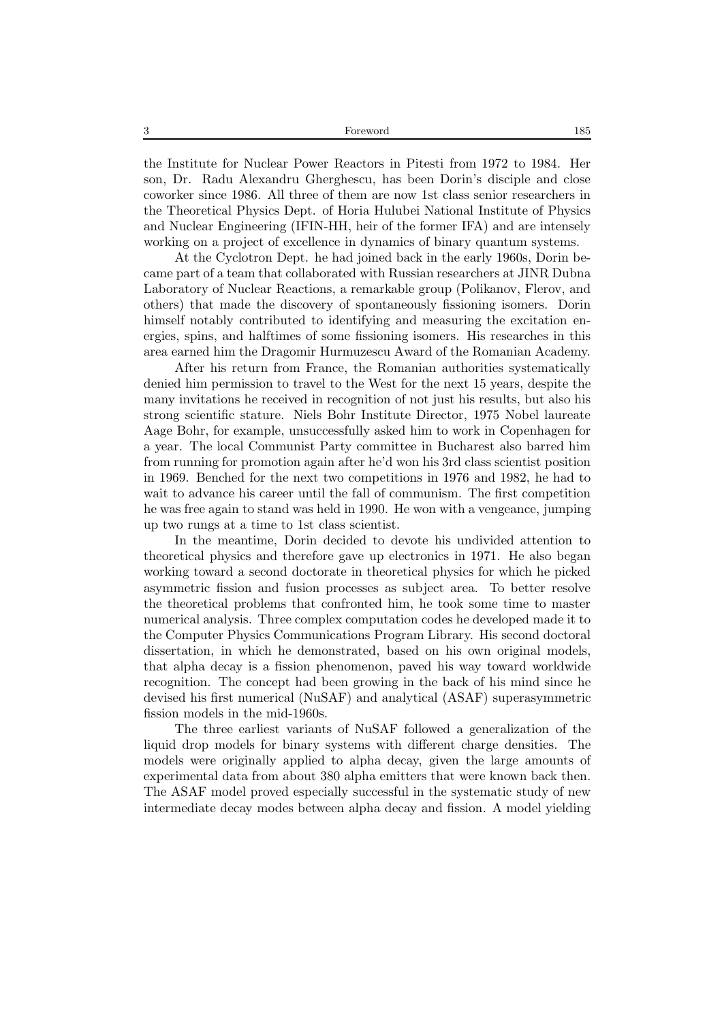3 Foreword 185

the Institute for Nuclear Power Reactors in Pitesti from 1972 to 1984. Her son, Dr. Radu Alexandru Gherghescu, has been Dorin's disciple and close coworker since 1986. All three of them are now 1st class senior researchers in the Theoretical Physics Dept. of Horia Hulubei National Institute of Physics and Nuclear Engineering (IFIN-HH, heir of the former IFA) and are intensely working on a project of excellence in dynamics of binary quantum systems.

At the Cyclotron Dept. he had joined back in the early 1960s, Dorin became part of a team that collaborated with Russian researchers at JINR Dubna Laboratory of Nuclear Reactions, a remarkable group (Polikanov, Flerov, and others) that made the discovery of spontaneously fissioning isomers. Dorin himself notably contributed to identifying and measuring the excitation energies, spins, and halftimes of some fissioning isomers. His researches in this area earned him the Dragomir Hurmuzescu Award of the Romanian Academy.

After his return from France, the Romanian authorities systematically denied him permission to travel to the West for the next 15 years, despite the many invitations he received in recognition of not just his results, but also his strong scientific stature. Niels Bohr Institute Director, 1975 Nobel laureate Aage Bohr, for example, unsuccessfully asked him to work in Copenhagen for a year. The local Communist Party committee in Bucharest also barred him from running for promotion again after he'd won his 3rd class scientist position in 1969. Benched for the next two competitions in 1976 and 1982, he had to wait to advance his career until the fall of communism. The first competition he was free again to stand was held in 1990. He won with a vengeance, jumping up two rungs at a time to 1st class scientist.

In the meantime, Dorin decided to devote his undivided attention to theoretical physics and therefore gave up electronics in 1971. He also began working toward a second doctorate in theoretical physics for which he picked asymmetric fission and fusion processes as subject area. To better resolve the theoretical problems that confronted him, he took some time to master numerical analysis. Three complex computation codes he developed made it to the Computer Physics Communications Program Library. His second doctoral dissertation, in which he demonstrated, based on his own original models, that alpha decay is a fission phenomenon, paved his way toward worldwide recognition. The concept had been growing in the back of his mind since he devised his first numerical (NuSAF) and analytical (ASAF) superasymmetric fission models in the mid-1960s.

The three earliest variants of NuSAF followed a generalization of the liquid drop models for binary systems with different charge densities. The models were originally applied to alpha decay, given the large amounts of experimental data from about 380 alpha emitters that were known back then. The ASAF model proved especially successful in the systematic study of new intermediate decay modes between alpha decay and fission. A model yielding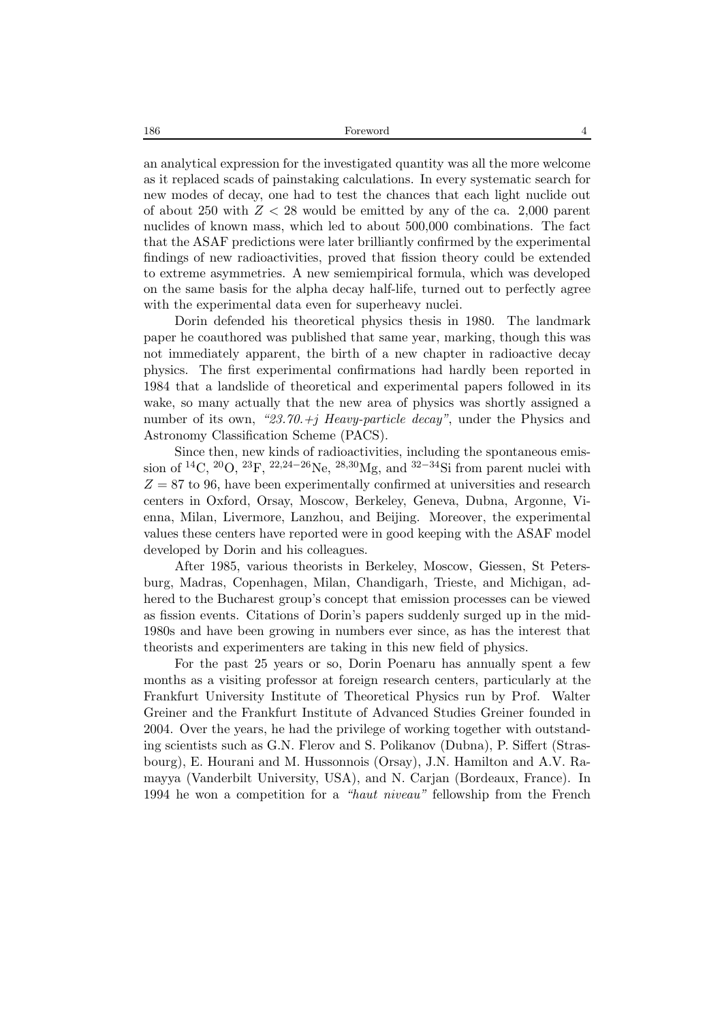an analytical expression for the investigated quantity was all the more welcome as it replaced scads of painstaking calculations. In every systematic search for new modes of decay, one had to test the chances that each light nuclide out of about 250 with *Z <* 28 would be emitted by any of the ca. 2,000 parent nuclides of known mass, which led to about 500,000 combinations. The fact that the ASAF predictions were later brilliantly confirmed by the experimental findings of new radioactivities, proved that fission theory could be extended to extreme asymmetries. A new semiempirical formula, which was developed on the same basis for the alpha decay half-life, turned out to perfectly agree with the experimental data even for superheavy nuclei.

Dorin defended his theoretical physics thesis in 1980. The landmark paper he coauthored was published that same year, marking, though this was not immediately apparent, the birth of a new chapter in radioactive decay physics. The first experimental confirmations had hardly been reported in 1984 that a landslide of theoretical and experimental papers followed in its wake, so many actually that the new area of physics was shortly assigned a number of its own, *"23.70.+j Heavy-particle decay"*, under the Physics and Astronomy Classification Scheme (PACS).

Since then, new kinds of radioactivities, including the spontaneous emission of <sup>14</sup>C, <sup>20</sup>O, <sup>23</sup>F, <sup>22</sup>*,*24*−*26Ne, <sup>28</sup>*,*30Mg, and <sup>32</sup>*−*34Si from parent nuclei with  $Z = 87$  to 96, have been experimentally confirmed at universities and research centers in Oxford, Orsay, Moscow, Berkeley, Geneva, Dubna, Argonne, Vienna, Milan, Livermore, Lanzhou, and Beijing. Moreover, the experimental values these centers have reported were in good keeping with the ASAF model developed by Dorin and his colleagues.

After 1985, various theorists in Berkeley, Moscow, Giessen, St Petersburg, Madras, Copenhagen, Milan, Chandigarh, Trieste, and Michigan, adhered to the Bucharest group's concept that emission processes can be viewed as fission events. Citations of Dorin's papers suddenly surged up in the mid-1980s and have been growing in numbers ever since, as has the interest that theorists and experimenters are taking in this new field of physics.

For the past 25 years or so, Dorin Poenaru has annually spent a few months as a visiting professor at foreign research centers, particularly at the Frankfurt University Institute of Theoretical Physics run by Prof. Walter Greiner and the Frankfurt Institute of Advanced Studies Greiner founded in 2004. Over the years, he had the privilege of working together with outstanding scientists such as G.N. Flerov and S. Polikanov (Dubna), P. Siffert (Strasbourg), E. Hourani and M. Hussonnois (Orsay), J.N. Hamilton and A.V. Ramayya (Vanderbilt University, USA), and N. Carjan (Bordeaux, France). In 1994 he won a competition for a *"haut niveau"* fellowship from the French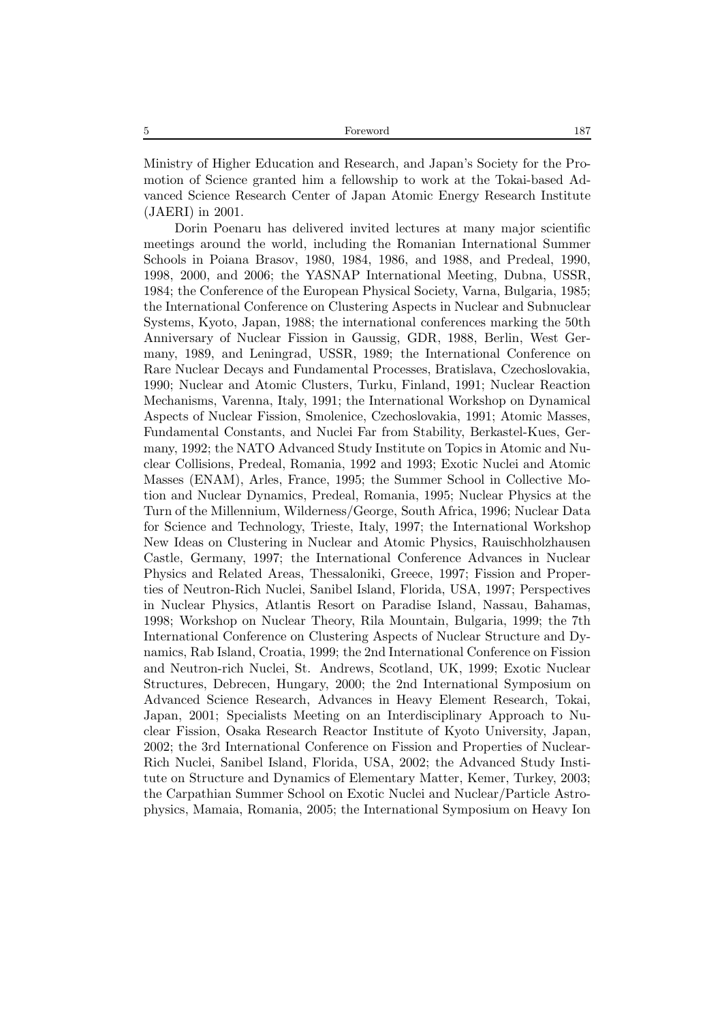Ministry of Higher Education and Research, and Japan's Society for the Promotion of Science granted him a fellowship to work at the Tokai-based Advanced Science Research Center of Japan Atomic Energy Research Institute (JAERI) in 2001.

Dorin Poenaru has delivered invited lectures at many major scientific meetings around the world, including the Romanian International Summer Schools in Poiana Brasov, 1980, 1984, 1986, and 1988, and Predeal, 1990, 1998, 2000, and 2006; the YASNAP International Meeting, Dubna, USSR, 1984; the Conference of the European Physical Society, Varna, Bulgaria, 1985; the International Conference on Clustering Aspects in Nuclear and Subnuclear Systems, Kyoto, Japan, 1988; the international conferences marking the 50th Anniversary of Nuclear Fission in Gaussig, GDR, 1988, Berlin, West Germany, 1989, and Leningrad, USSR, 1989; the International Conference on Rare Nuclear Decays and Fundamental Processes, Bratislava, Czechoslovakia, 1990; Nuclear and Atomic Clusters, Turku, Finland, 1991; Nuclear Reaction Mechanisms, Varenna, Italy, 1991; the International Workshop on Dynamical Aspects of Nuclear Fission, Smolenice, Czechoslovakia, 1991; Atomic Masses, Fundamental Constants, and Nuclei Far from Stability, Berkastel-Kues, Germany, 1992; the NATO Advanced Study Institute on Topics in Atomic and Nuclear Collisions, Predeal, Romania, 1992 and 1993; Exotic Nuclei and Atomic Masses (ENAM), Arles, France, 1995; the Summer School in Collective Motion and Nuclear Dynamics, Predeal, Romania, 1995; Nuclear Physics at the Turn of the Millennium, Wilderness/George, South Africa, 1996; Nuclear Data for Science and Technology, Trieste, Italy, 1997; the International Workshop New Ideas on Clustering in Nuclear and Atomic Physics, Rauischholzhausen Castle, Germany, 1997; the International Conference Advances in Nuclear Physics and Related Areas, Thessaloniki, Greece, 1997; Fission and Properties of Neutron-Rich Nuclei, Sanibel Island, Florida, USA, 1997; Perspectives in Nuclear Physics, Atlantis Resort on Paradise Island, Nassau, Bahamas, 1998; Workshop on Nuclear Theory, Rila Mountain, Bulgaria, 1999; the 7th International Conference on Clustering Aspects of Nuclear Structure and Dynamics, Rab Island, Croatia, 1999; the 2nd International Conference on Fission and Neutron-rich Nuclei, St. Andrews, Scotland, UK, 1999; Exotic Nuclear Structures, Debrecen, Hungary, 2000; the 2nd International Symposium on Advanced Science Research, Advances in Heavy Element Research, Tokai, Japan, 2001; Specialists Meeting on an Interdisciplinary Approach to Nuclear Fission, Osaka Research Reactor Institute of Kyoto University, Japan, 2002; the 3rd International Conference on Fission and Properties of Nuclear-Rich Nuclei, Sanibel Island, Florida, USA, 2002; the Advanced Study Institute on Structure and Dynamics of Elementary Matter, Kemer, Turkey, 2003; the Carpathian Summer School on Exotic Nuclei and Nuclear/Particle Astrophysics, Mamaia, Romania, 2005; the International Symposium on Heavy Ion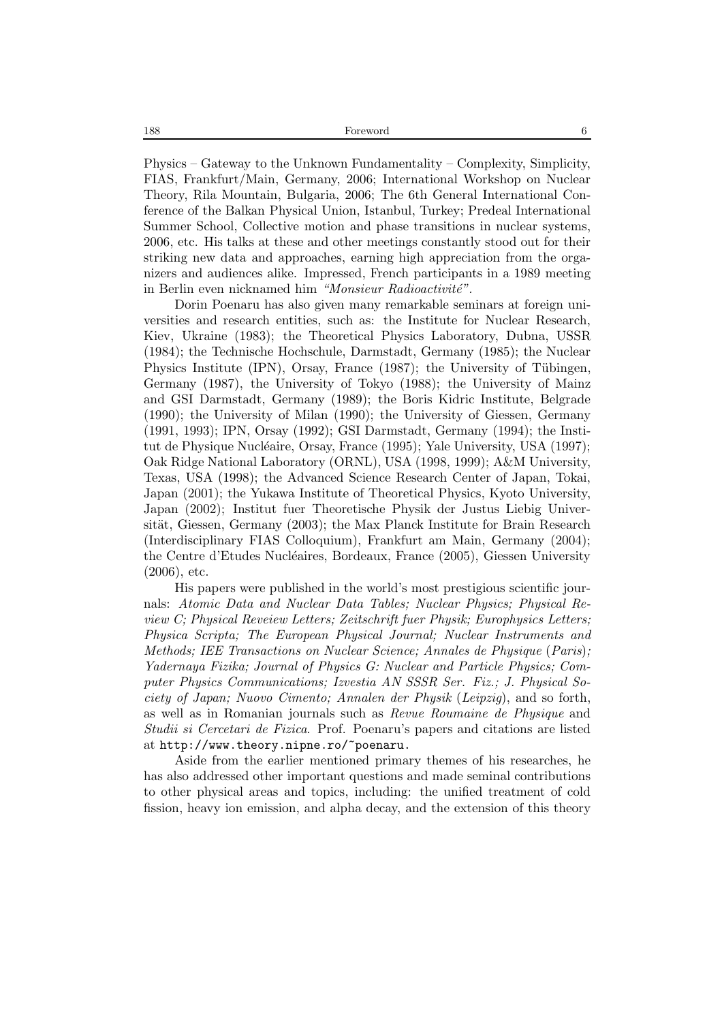Physics – Gateway to the Unknown Fundamentality – Complexity, Simplicity, FIAS, Frankfurt/Main, Germany, 2006; International Workshop on Nuclear Theory, Rila Mountain, Bulgaria, 2006; The 6th General International Conference of the Balkan Physical Union, Istanbul, Turkey; Predeal International Summer School, Collective motion and phase transitions in nuclear systems, 2006, etc. His talks at these and other meetings constantly stood out for their striking new data and approaches, earning high appreciation from the organizers and audiences alike. Impressed, French participants in a 1989 meeting in Berlin even nicknamed him *"Monsieur Radioactivité"*.

Dorin Poenaru has also given many remarkable seminars at foreign universities and research entities, such as: the Institute for Nuclear Research, Kiev, Ukraine (1983); the Theoretical Physics Laboratory, Dubna, USSR (1984); the Technische Hochschule, Darmstadt, Germany (1985); the Nuclear Physics Institute  $(IPN)$ , Orsay, France  $(1987)$ ; the University of Tübingen, Germany (1987), the University of Tokyo (1988); the University of Mainz and GSI Darmstadt, Germany (1989); the Boris Kidric Institute, Belgrade (1990); the University of Milan (1990); the University of Giessen, Germany (1991, 1993); IPN, Orsay (1992); GSI Darmstadt, Germany (1994); the Institut de Physique Nucléaire, Orsay, France (1995); Yale University, USA (1997); Oak Ridge National Laboratory (ORNL), USA (1998, 1999); A&M University, Texas, USA (1998); the Advanced Science Research Center of Japan, Tokai, Japan (2001); the Yukawa Institute of Theoretical Physics, Kyoto University, Japan (2002); Institut fuer Theoretische Physik der Justus Liebig Universität, Giessen, Germany (2003); the Max Planck Institute for Brain Research (Interdisciplinary FIAS Colloquium), Frankfurt am Main, Germany (2004); the Centre d'Etudes Nucléaires, Bordeaux, France (2005), Giessen University (2006), etc.

His papers were published in the world's most prestigious scientific journals: *Atomic Data and Nuclear Data Tables; Nuclear Physics; Physical Review C; Physical Reveiew Letters; Zeitschrift fuer Physik; Europhysics Letters; Physica Scripta; The European Physical Journal; Nuclear Instruments and Methods; IEE Transactions on Nuclear Science; Annales de Physique* (*Paris*)*; Yadernaya Fizika; Journal of Physics G: Nuclear and Particle Physics; Computer Physics Communications; Izvestia AN SSSR Ser. Fiz.; J. Physical Society of Japan; Nuovo Cimento; Annalen der Physik* (*Leipzig*), and so forth, as well as in Romanian journals such as *Revue Roumaine de Physique* and *Studii si Cercetari de Fizica*. Prof. Poenaru's papers and citations are listed at http://www.theory.nipne.ro/~poenaru.

Aside from the earlier mentioned primary themes of his researches, he has also addressed other important questions and made seminal contributions to other physical areas and topics, including: the unified treatment of cold fission, heavy ion emission, and alpha decay, and the extension of this theory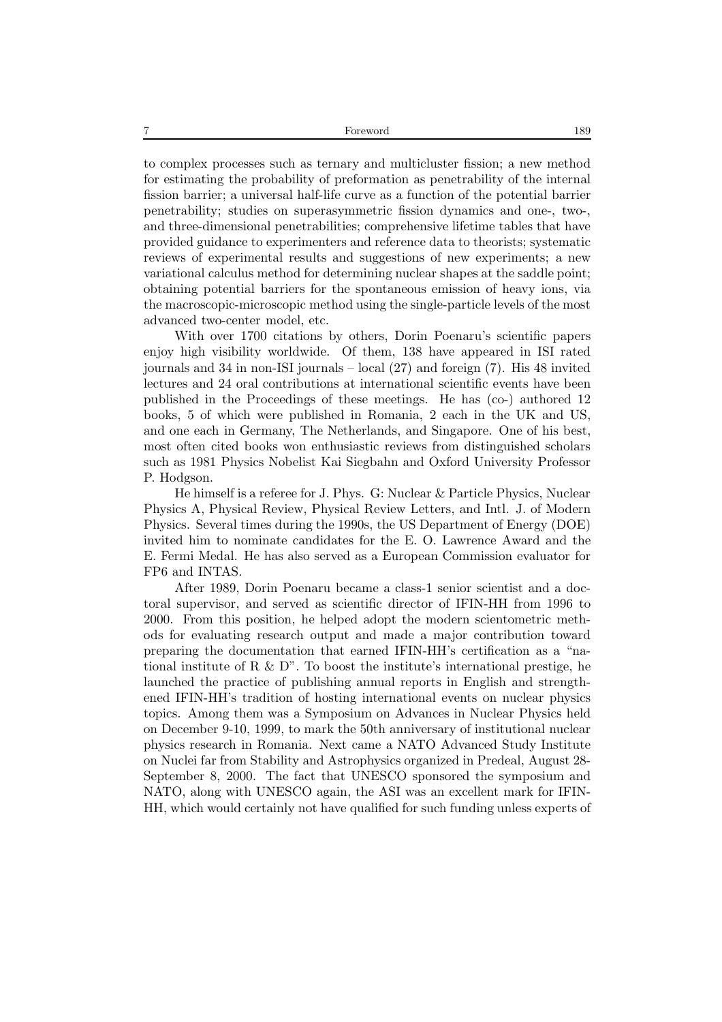to complex processes such as ternary and multicluster fission; a new method for estimating the probability of preformation as penetrability of the internal fission barrier; a universal half-life curve as a function of the potential barrier penetrability; studies on superasymmetric fission dynamics and one-, two-, and three-dimensional penetrabilities; comprehensive lifetime tables that have provided guidance to experimenters and reference data to theorists; systematic reviews of experimental results and suggestions of new experiments; a new variational calculus method for determining nuclear shapes at the saddle point; obtaining potential barriers for the spontaneous emission of heavy ions, via the macroscopic-microscopic method using the single-particle levels of the most advanced two-center model, etc.

With over 1700 citations by others, Dorin Poenaru's scientific papers enjoy high visibility worldwide. Of them, 138 have appeared in ISI rated journals and 34 in non-ISI journals – local (27) and foreign (7). His 48 invited lectures and 24 oral contributions at international scientific events have been published in the Proceedings of these meetings. He has (co-) authored 12 books, 5 of which were published in Romania, 2 each in the UK and US, and one each in Germany, The Netherlands, and Singapore. One of his best, most often cited books won enthusiastic reviews from distinguished scholars such as 1981 Physics Nobelist Kai Siegbahn and Oxford University Professor P. Hodgson.

He himself is a referee for J. Phys. G: Nuclear & Particle Physics, Nuclear Physics A, Physical Review, Physical Review Letters, and Intl. J. of Modern Physics. Several times during the 1990s, the US Department of Energy (DOE) invited him to nominate candidates for the E. O. Lawrence Award and the E. Fermi Medal. He has also served as a European Commission evaluator for FP6 and INTAS.

After 1989, Dorin Poenaru became a class-1 senior scientist and a doctoral supervisor, and served as scientific director of IFIN-HH from 1996 to 2000. From this position, he helped adopt the modern scientometric methods for evaluating research output and made a major contribution toward preparing the documentation that earned IFIN-HH's certification as a "national institute of R & D". To boost the institute's international prestige, he launched the practice of publishing annual reports in English and strengthened IFIN-HH's tradition of hosting international events on nuclear physics topics. Among them was a Symposium on Advances in Nuclear Physics held on December 9-10, 1999, to mark the 50th anniversary of institutional nuclear physics research in Romania. Next came a NATO Advanced Study Institute on Nuclei far from Stability and Astrophysics organized in Predeal, August 28- September 8, 2000. The fact that UNESCO sponsored the symposium and NATO, along with UNESCO again, the ASI was an excellent mark for IFIN-HH, which would certainly not have qualified for such funding unless experts of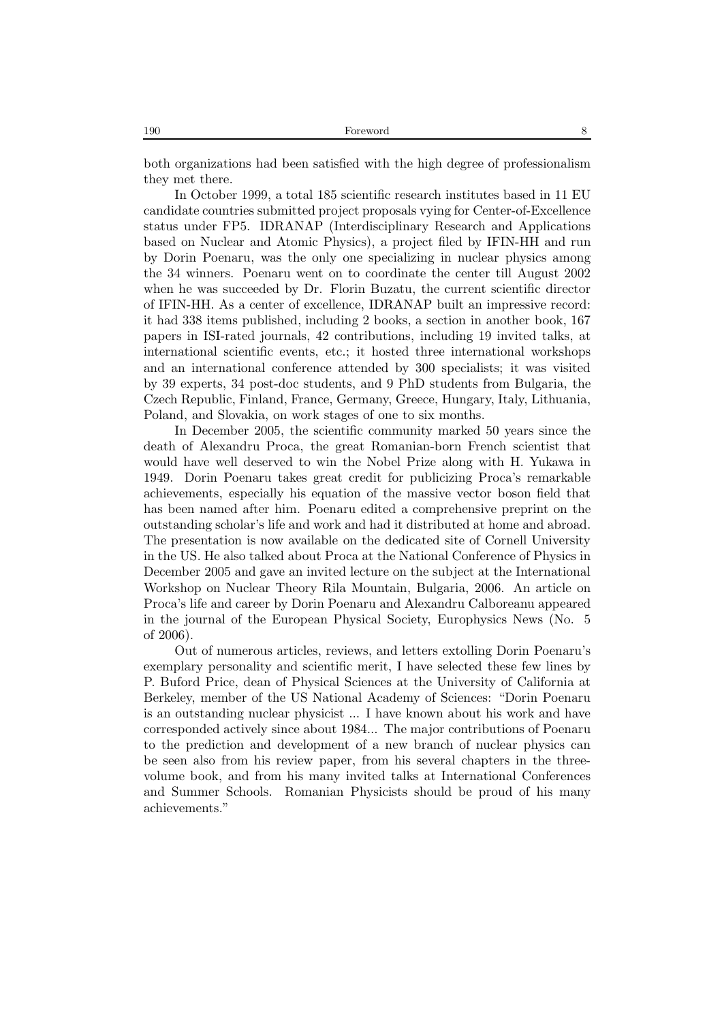both organizations had been satisfied with the high degree of professionalism they met there.

In October 1999, a total 185 scientific research institutes based in 11 EU candidate countries submitted project proposals vying for Center-of-Excellence status under FP5. IDRANAP (Interdisciplinary Research and Applications based on Nuclear and Atomic Physics), a project filed by IFIN-HH and run by Dorin Poenaru, was the only one specializing in nuclear physics among the 34 winners. Poenaru went on to coordinate the center till August 2002 when he was succeeded by Dr. Florin Buzatu, the current scientific director of IFIN-HH. As a center of excellence, IDRANAP built an impressive record: it had 338 items published, including 2 books, a section in another book, 167 papers in ISI-rated journals, 42 contributions, including 19 invited talks, at international scientific events, etc.; it hosted three international workshops and an international conference attended by 300 specialists; it was visited by 39 experts, 34 post-doc students, and 9 PhD students from Bulgaria, the Czech Republic, Finland, France, Germany, Greece, Hungary, Italy, Lithuania, Poland, and Slovakia, on work stages of one to six months.

In December 2005, the scientific community marked 50 years since the death of Alexandru Proca, the great Romanian-born French scientist that would have well deserved to win the Nobel Prize along with H. Yukawa in 1949. Dorin Poenaru takes great credit for publicizing Proca's remarkable achievements, especially his equation of the massive vector boson field that has been named after him. Poenaru edited a comprehensive preprint on the outstanding scholar's life and work and had it distributed at home and abroad. The presentation is now available on the dedicated site of Cornell University in the US. He also talked about Proca at the National Conference of Physics in December 2005 and gave an invited lecture on the subject at the International Workshop on Nuclear Theory Rila Mountain, Bulgaria, 2006. An article on Proca's life and career by Dorin Poenaru and Alexandru Calboreanu appeared in the journal of the European Physical Society, Europhysics News (No. 5 of 2006).

Out of numerous articles, reviews, and letters extolling Dorin Poenaru's exemplary personality and scientific merit, I have selected these few lines by P. Buford Price, dean of Physical Sciences at the University of California at Berkeley, member of the US National Academy of Sciences: "Dorin Poenaru is an outstanding nuclear physicist ... I have known about his work and have corresponded actively since about 1984... The major contributions of Poenaru to the prediction and development of a new branch of nuclear physics can be seen also from his review paper, from his several chapters in the threevolume book, and from his many invited talks at International Conferences and Summer Schools. Romanian Physicists should be proud of his many achievements."